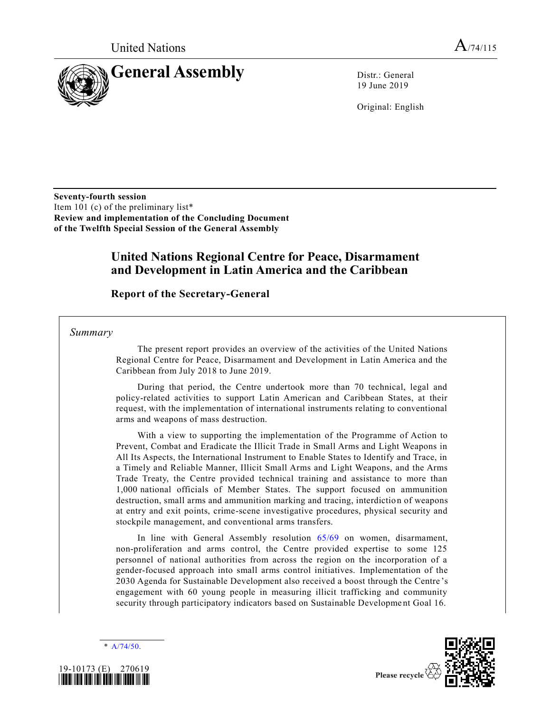

19 June 2019

Original: English

**Seventy-fourth session**  Item 101 (c) of the preliminary list\* **Review and implementation of the Concluding Document of the Twelfth Special Session of the General Assembly**

## **United Nations Regional Centre for Peace, Disarmament and Development in Latin America and the Caribbean**

**Report of the Secretary-General**

*Summary*

The present report provides an overview of the activities of the United Nations Regional Centre for Peace, Disarmament and Development in Latin America and the Caribbean from July 2018 to June 2019.

During that period, the Centre undertook more than 70 technical, legal and policy-related activities to support Latin American and Caribbean States, at their request, with the implementation of international instruments relating to conventional arms and weapons of mass destruction.

With a view to supporting the implementation of the Programme of Action to Prevent, Combat and Eradicate the Illicit Trade in Small Arms and Light Weapons in All Its Aspects, the International Instrument to Enable States to Identify and Trace, in a Timely and Reliable Manner, Illicit Small Arms and Light Weapons, and the Arms Trade Treaty, the Centre provided technical training and assistance to more than 1,000 national officials of Member States. The support focused on ammunition destruction, small arms and ammunition marking and tracing, interdictio n of weapons at entry and exit points, crime-scene investigative procedures, physical security and stockpile management, and conventional arms transfers.

In line with General Assembly resolution [65/69](https://undocs.org/en/A/RES/65/69) on women, disarmament, non-proliferation and arms control, the Centre provided expertise to some 125 personnel of national authorities from across the region on the incorporation of a gender-focused approach into small arms control initiatives. Implementation of the 2030 Agenda for Sustainable Development also received a boost through the Centre 's engagement with 60 young people in measuring illicit trafficking and community security through participatory indicators based on Sustainable Development Goal 16.

[A/74/50.](https://undocs.org/en/A/74/50)



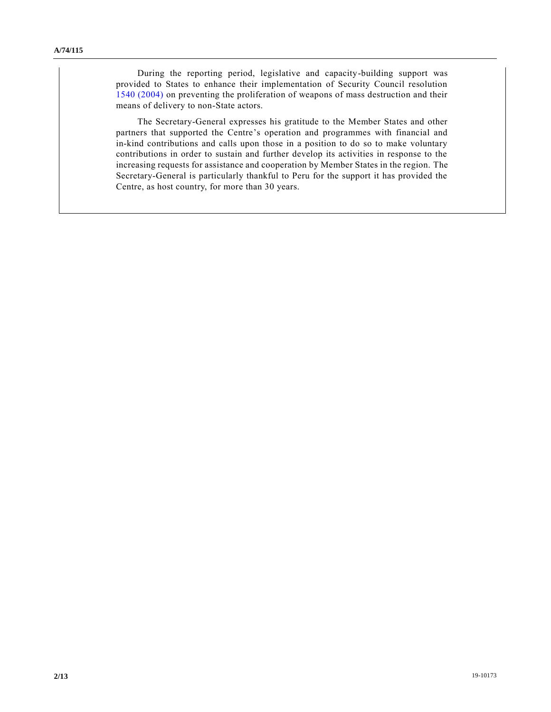During the reporting period, legislative and capacity-building support was provided to States to enhance their implementation of Security Council resolution [1540 \(2004\)](https://undocs.org/en/S/RES/1540%20(2004)) on preventing the proliferation of weapons of mass destruction and their means of delivery to non-State actors.

The Secretary-General expresses his gratitude to the Member States and other partners that supported the Centre's operation and programmes with financial and in-kind contributions and calls upon those in a position to do so to make voluntary contributions in order to sustain and further develop its activities in response to the increasing requests for assistance and cooperation by Member States in the region. The Secretary-General is particularly thankful to Peru for the support it has provided the Centre, as host country, for more than 30 years.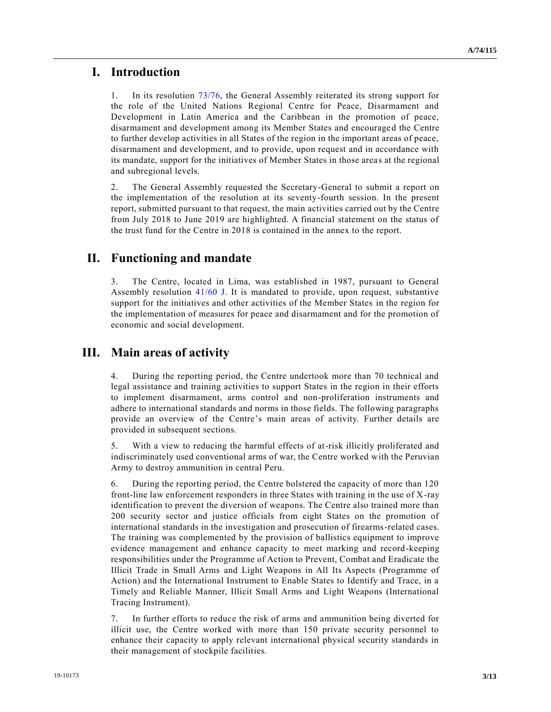## **I. Introduction**

1. In its resolution [73/76,](https://undocs.org/en/A/RES/73/76) the General Assembly reiterated its strong support for the role of the United Nations Regional Centre for Peace, Disarmament and Development in Latin America and the Caribbean in the promotion of peace, disarmament and development among its Member States and encouraged the Centre to further develop activities in all States of the region in the important areas of peace, disarmament and development, and to provide, upon request and in accordance with its mandate, support for the initiatives of Member States in those area s at the regional and subregional levels.

2. The General Assembly requested the Secretary-General to submit a report on the implementation of the resolution at its seventy-fourth session. In the present report, submitted pursuant to that request, the main activities carried out by the Centre from July 2018 to June 2019 are highlighted. A financial statement on the status of the trust fund for the Centre in 2018 is contained in the annex to the report.

## **II. Functioning and mandate**

3. The Centre, located in Lima, was established in 1987, pursuant to General Assembly resolution [41/60 J.](https://undocs.org/en/A/RES/41/60) It is mandated to provide, upon request, substantive support for the initiatives and other activities of the Member States in the region for the implementation of measures for peace and disarmament and for the promotion of economic and social development.

## **III. Main areas of activity**

4. During the reporting period, the Centre undertook more than 70 technical and legal assistance and training activities to support States in the region in their efforts to implement disarmament, arms control and non-proliferation instruments and adhere to international standards and norms in those fields. The following paragraphs provide an overview of the Centre's main areas of activity. Further details are provided in subsequent sections.

5. With a view to reducing the harmful effects of at-risk illicitly proliferated and indiscriminately used conventional arms of war, the Centre worked with the Peruvian Army to destroy ammunition in central Peru.

6. During the reporting period, the Centre bolstered the capacity of more than 120 front-line law enforcement responders in three States with training in the use of X-ray identification to prevent the diversion of weapons. The Centre also trained more than 200 security sector and justice officials from eight States on the promotion of international standards in the investigation and prosecution of firearms-related cases. The training was complemented by the provision of ballistics equipment to improve evidence management and enhance capacity to meet marking and record-keeping responsibilities under the Programme of Action to Prevent, Combat and Eradicate the Illicit Trade in Small Arms and Light Weapons in All Its Aspects (Programme of Action) and the International Instrument to Enable States to Identify and Trace, in a Timely and Reliable Manner, Illicit Small Arms and Light Weapons (International Tracing Instrument).

7. In further efforts to reduce the risk of arms and ammunition being diverted for illicit use, the Centre worked with more than 150 private security personnel to enhance their capacity to apply relevant international physical security standards in their management of stockpile facilities.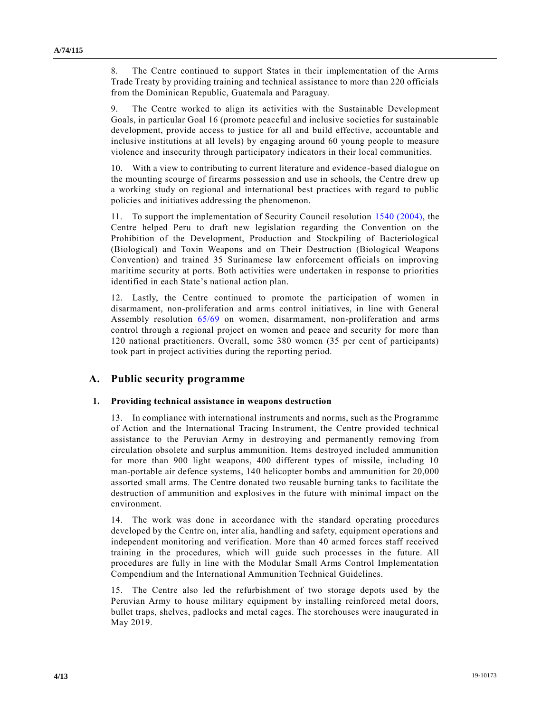8. The Centre continued to support States in their implementation of the Arms Trade Treaty by providing training and technical assistance to more than 220 officials from the Dominican Republic, Guatemala and Paraguay.

9. The Centre worked to align its activities with the Sustainable Development Goals, in particular Goal 16 (promote peaceful and inclusive societies for sustainable development, provide access to justice for all and build effective, accountable and inclusive institutions at all levels) by engaging around 60 young people to measure violence and insecurity through participatory indicators in their local communities.

10. With a view to contributing to current literature and evidence-based dialogue on the mounting scourge of firearms possession and use in schools, the Centre drew up a working study on regional and international best practices with regard to public policies and initiatives addressing the phenomenon.

11. To support the implementation of Security Council resolution [1540 \(2004\),](https://undocs.org/en/S/RES/1540%20(2004)) the Centre helped Peru to draft new legislation regarding the Convention on the Prohibition of the Development, Production and Stockpiling of Bacteriological (Biological) and Toxin Weapons and on Their Destruction (Biological Weapons Convention) and trained 35 Surinamese law enforcement officials on improving maritime security at ports. Both activities were undertaken in response to priorities identified in each State's national action plan.

12. Lastly, the Centre continued to promote the participation of women in disarmament, non-proliferation and arms control initiatives, in line with General Assembly resolution [65/69](https://undocs.org/en/A/RES/65/69) on women, disarmament, non-proliferation and arms control through a regional project on women and peace and security for more than 120 national practitioners. Overall, some 380 women (35 per cent of participants) took part in project activities during the reporting period.

### **A. Public security programme**

#### **1. Providing technical assistance in weapons destruction**

13. In compliance with international instruments and norms, such as the Programme of Action and the International Tracing Instrument, the Centre provided technical assistance to the Peruvian Army in destroying and permanently removing from circulation obsolete and surplus ammunition. Items destroyed included ammunition for more than 900 light weapons, 400 different types of missile, including 10 man-portable air defence systems, 140 helicopter bombs and ammunition for 20,000 assorted small arms. The Centre donated two reusable burning tanks to facilitate the destruction of ammunition and explosives in the future with minimal impact on the environment.

14. The work was done in accordance with the standard operating procedures developed by the Centre on, inter alia, handling and safety, equipment operations and independent monitoring and verification. More than 40 armed forces staff received training in the procedures, which will guide such processes in the future. All procedures are fully in line with the Modular Small Arms Control Implementation Compendium and the International Ammunition Technical Guidelines.

15. The Centre also led the refurbishment of two storage depots used by the Peruvian Army to house military equipment by installing reinforced metal doors, bullet traps, shelves, padlocks and metal cages. The storehouses were inaugurated in May 2019.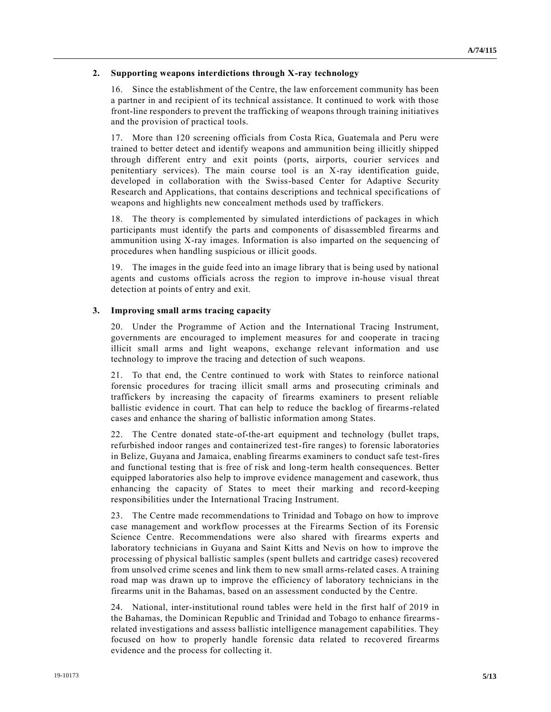#### **2. Supporting weapons interdictions through X-ray technology**

16. Since the establishment of the Centre, the law enforcement community has been a partner in and recipient of its technical assistance. It continued to work with those front-line responders to prevent the trafficking of weapons through training initiatives and the provision of practical tools.

17. More than 120 screening officials from Costa Rica, Guatemala and Peru were trained to better detect and identify weapons and ammunition being illicitly shipped through different entry and exit points (ports, airports, courier services and penitentiary services). The main course tool is an X-ray identification guide, developed in collaboration with the Swiss-based Center for Adaptive Security Research and Applications, that contains descriptions and technical specifications of weapons and highlights new concealment methods used by traffickers.

18. The theory is complemented by simulated interdictions of packages in which participants must identify the parts and components of disassembled firearms and ammunition using X-ray images. Information is also imparted on the sequencing of procedures when handling suspicious or illicit goods.

19. The images in the guide feed into an image library that is being used by national agents and customs officials across the region to improve in-house visual threat detection at points of entry and exit.

#### **3. Improving small arms tracing capacity**

20. Under the Programme of Action and the International Tracing Instrument, governments are encouraged to implement measures for and cooperate in tracing illicit small arms and light weapons, exchange relevant information and use technology to improve the tracing and detection of such weapons.

21. To that end, the Centre continued to work with States to reinforce national forensic procedures for tracing illicit small arms and prosecuting criminals and traffickers by increasing the capacity of firearms examiners to present reliable ballistic evidence in court. That can help to reduce the backlog of firearms-related cases and enhance the sharing of ballistic information among States.

22. The Centre donated state-of-the-art equipment and technology (bullet traps, refurbished indoor ranges and containerized test-fire ranges) to forensic laboratories in Belize, Guyana and Jamaica, enabling firearms examiners to conduct safe test-fires and functional testing that is free of risk and long-term health consequences. Better equipped laboratories also help to improve evidence management and casework, thus enhancing the capacity of States to meet their marking and record-keeping responsibilities under the International Tracing Instrument.

23. The Centre made recommendations to Trinidad and Tobago on how to improve case management and workflow processes at the Firearms Section of its Forensic Science Centre. Recommendations were also shared with firearms experts and laboratory technicians in Guyana and Saint Kitts and Nevis on how to improve the processing of physical ballistic samples (spent bullets and cartridge cases) recovered from unsolved crime scenes and link them to new small arms-related cases. A training road map was drawn up to improve the efficiency of laboratory technicians in the firearms unit in the Bahamas, based on an assessment conducted by the Centre.

24. National, inter-institutional round tables were held in the first half of 2019 in the Bahamas, the Dominican Republic and Trinidad and Tobago to enhance firearmsrelated investigations and assess ballistic intelligence management capabilities. They focused on how to properly handle forensic data related to recovered firearms evidence and the process for collecting it.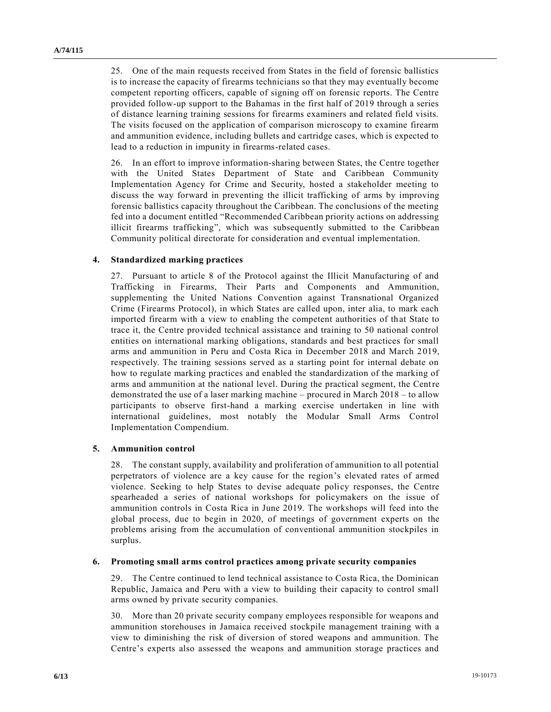25. One of the main requests received from States in the field of forensic ballistics is to increase the capacity of firearms technicians so that they may eventually become competent reporting officers, capable of signing off on forensic reports. The Centre provided follow-up support to the Bahamas in the first half of 2019 through a series of distance learning training sessions for firearms examiners and related field visits. The visits focused on the application of comparison microscopy to examine firearm and ammunition evidence, including bullets and cartridge cases, which is expected to lead to a reduction in impunity in firearms-related cases.

26. In an effort to improve information-sharing between States, the Centre together with the United States Department of State and Caribbean Community Implementation Agency for Crime and Security, hosted a stakeholder meeting to discuss the way forward in preventing the illicit trafficking of arms by improving forensic ballistics capacity throughout the Caribbean. The conclusions of the meeting fed into a document entitled "Recommended Caribbean priority actions on addressing illicit firearms trafficking", which was subsequently submitted to the Caribbean Community political directorate for consideration and eventual implementation.

#### **4. Standardized marking practices**

27. Pursuant to article 8 of the Protocol against the Illicit Manufacturing of and Trafficking in Firearms, Their Parts and Components and Ammunition, supplementing the United Nations Convention against Transnational Organized Crime (Firearms Protocol), in which States are called upon, inter alia, to mark each imported firearm with a view to enabling the competent authorities of that State to trace it, the Centre provided technical assistance and training to 50 national control entities on international marking obligations, standards and best practices for small arms and ammunition in Peru and Costa Rica in December 2018 and March 2019, respectively. The training sessions served as a starting point for internal debate on how to regulate marking practices and enabled the standardization of the marking of arms and ammunition at the national level. During the practical segment, the Centre demonstrated the use of a laser marking machine – procured in March 2018 – to allow participants to observe first-hand a marking exercise undertaken in line with international guidelines, most notably the Modular Small Arms Control Implementation Compendium.

#### **5. Ammunition control**

28. The constant supply, availability and proliferation of ammunition to all potential perpetrators of violence are a key cause for the region's elevated rates of armed violence. Seeking to help States to devise adequate policy responses, the Centre spearheaded a series of national workshops for policymakers on the issue of ammunition controls in Costa Rica in June 2019. The workshops will feed into the global process, due to begin in 2020, of meetings of government experts on the problems arising from the accumulation of conventional ammunition stockpiles in surplus.

#### **6. Promoting small arms control practices among private security companies**

29. The Centre continued to lend technical assistance to Costa Rica, the Dominican Republic, Jamaica and Peru with a view to building their capacity to control small arms owned by private security companies.

30. More than 20 private security company employees responsible for weapons and ammunition storehouses in Jamaica received stockpile management training with a view to diminishing the risk of diversion of stored weapons and ammunition. The Centre's experts also assessed the weapons and ammunition storage practices and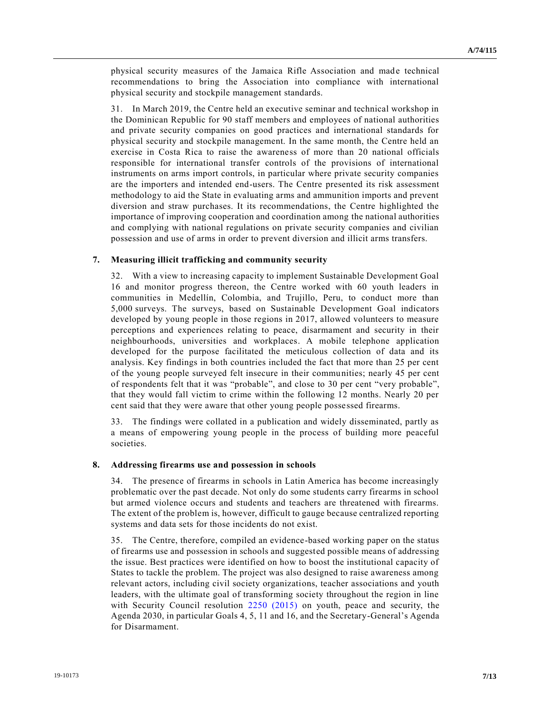physical security measures of the Jamaica Rifle Association and made technical recommendations to bring the Association into compliance with international physical security and stockpile management standards.

31. In March 2019, the Centre held an executive seminar and technical workshop in the Dominican Republic for 90 staff members and employees of national authorities and private security companies on good practices and international standards for physical security and stockpile management. In the same month, the Centre held an exercise in Costa Rica to raise the awareness of more than 20 national officials responsible for international transfer controls of the provisions of international instruments on arms import controls, in particular where private security companies are the importers and intended end-users. The Centre presented its risk assessment methodology to aid the State in evaluating arms and ammunition imports and prevent diversion and straw purchases. It its recommendations, the Centre highlighted the importance of improving cooperation and coordination among the national authorities and complying with national regulations on private security companies and civilian possession and use of arms in order to prevent diversion and illicit arms transfers.

#### **7. Measuring illicit trafficking and community security**

32. With a view to increasing capacity to implement Sustainable Development Goal 16 and monitor progress thereon, the Centre worked with 60 youth leaders in communities in Medellín, Colombia, and Trujillo, Peru, to conduct more than 5,000 surveys. The surveys, based on Sustainable Development Goal indicators developed by young people in those regions in 2017, allowed volunteers to measure perceptions and experiences relating to peace, disarmament and security in their neighbourhoods, universities and workplaces. A mobile telephone application developed for the purpose facilitated the meticulous collection of data and its analysis. Key findings in both countries included the fact that more than 25 per cent of the young people surveyed felt insecure in their communities; nearly 45 per cent of respondents felt that it was "probable", and close to 30 per cent "very probable", that they would fall victim to crime within the following 12 months. Nearly 20 per cent said that they were aware that other young people possessed firearms.

33. The findings were collated in a publication and widely disseminated, partly as a means of empowering young people in the process of building more peaceful societies.

#### **8. Addressing firearms use and possession in schools**

34. The presence of firearms in schools in Latin America has become increasingly problematic over the past decade. Not only do some students carry firearms in school but armed violence occurs and students and teachers are threatened with firearms. The extent of the problem is, however, difficult to gauge because centralized reporting systems and data sets for those incidents do not exist.

35. The Centre, therefore, compiled an evidence-based working paper on the status of firearms use and possession in schools and suggested possible means of addressing the issue. Best practices were identified on how to boost the institutional capacity of States to tackle the problem. The project was also designed to raise awareness among relevant actors, including civil society organizations, teacher associations and youth leaders, with the ultimate goal of transforming society throughout the region in line with Security Council resolution [2250 \(2015\)](https://undocs.org/en/S/RES/2250%20(2015)) on youth, peace and security, the Agenda 2030, in particular Goals 4, 5, 11 and 16, and the Secretary-General's Agenda for Disarmament.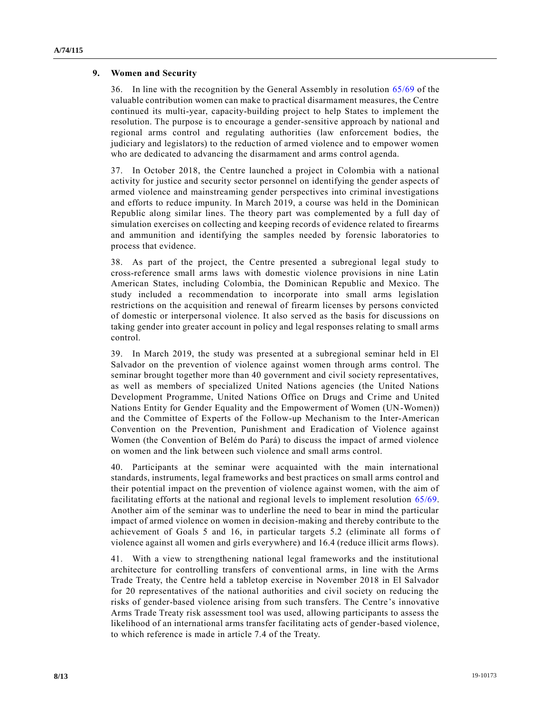#### **9. Women and Security**

36. In line with the recognition by the General Assembly in resolution [65/69](https://undocs.org/en/A/RES/65/69) of the valuable contribution women can make to practical disarmament measures, the Centre continued its multi-year, capacity-building project to help States to implement the resolution. The purpose is to encourage a gender-sensitive approach by national and regional arms control and regulating authorities (law enforcement bodies, the judiciary and legislators) to the reduction of armed violence and to empower women who are dedicated to advancing the disarmament and arms control agenda.

37. In October 2018, the Centre launched a project in Colombia with a national activity for justice and security sector personnel on identifying the gender aspects of armed violence and mainstreaming gender perspectives into criminal investigations and efforts to reduce impunity. In March 2019, a course was held in the Dominican Republic along similar lines. The theory part was complemented by a full day of simulation exercises on collecting and keeping records of evidence related to firearms and ammunition and identifying the samples needed by forensic laboratories to process that evidence.

38. As part of the project, the Centre presented a subregional legal study to cross-reference small arms laws with domestic violence provisions in nine Latin American States, including Colombia, the Dominican Republic and Mexico. The study included a recommendation to incorporate into small arms legislation restrictions on the acquisition and renewal of firearm licenses by persons convicted of domestic or interpersonal violence. It also served as the basis for discussions on taking gender into greater account in policy and legal responses relating to small arms control.

39. In March 2019, the study was presented at a subregional seminar held in El Salvador on the prevention of violence against women through arms control. The seminar brought together more than 40 government and civil society representatives, as well as members of specialized United Nations agencies (the United Nations Development Programme, United Nations Office on Drugs and Crime and United Nations Entity for Gender Equality and the Empowerment of Women (UN-Women)) and the Committee of Experts of the Follow-up Mechanism to the Inter-American Convention on the Prevention, Punishment and Eradication of Violence against Women (the Convention of Belém do Pará) to discuss the impact of armed violence on women and the link between such violence and small arms control.

40. Participants at the seminar were acquainted with the main international standards, instruments, legal frameworks and best practices on small arms control and their potential impact on the prevention of violence against women, with the aim of facilitating efforts at the national and regional levels to implement resolution [65/69.](https://undocs.org/en/A/RES/65/69) Another aim of the seminar was to underline the need to bear in mind the particular impact of armed violence on women in decision-making and thereby contribute to the achievement of Goals 5 and 16, in particular targets 5.2 (eliminate all forms of violence against all women and girls everywhere) and 16.4 (reduce illicit arms flows).

41. With a view to strengthening national legal frameworks and the institutional architecture for controlling transfers of conventional arms, in line with the Arms Trade Treaty, the Centre held a tabletop exercise in November 2018 in El Salvador for 20 representatives of the national authorities and civil society on reducing the risks of gender-based violence arising from such transfers. The Centre's innovative Arms Trade Treaty risk assessment tool was used, allowing participants to assess the likelihood of an international arms transfer facilitating acts of gender-based violence, to which reference is made in article 7.4 of the Treaty.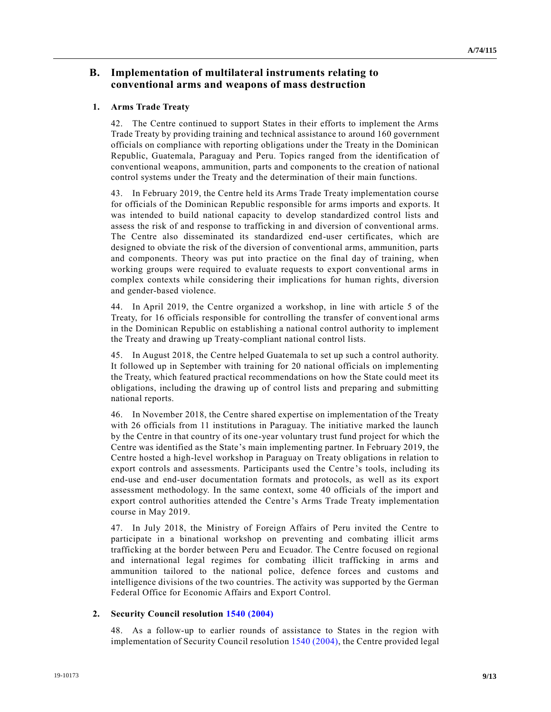### **B. Implementation of multilateral instruments relating to conventional arms and weapons of mass destruction**

#### **1. Arms Trade Treaty**

42. The Centre continued to support States in their efforts to implement the Arms Trade Treaty by providing training and technical assistance to around 160 government officials on compliance with reporting obligations under the Treaty in the Dominican Republic, Guatemala, Paraguay and Peru. Topics ranged from the identification of conventional weapons, ammunition, parts and components to the creation of national control systems under the Treaty and the determination of their main functions.

43. In February 2019, the Centre held its Arms Trade Treaty implementation course for officials of the Dominican Republic responsible for arms imports and exports. It was intended to build national capacity to develop standardized control lists and assess the risk of and response to trafficking in and diversion of conventional arms. The Centre also disseminated its standardized end-user certificates, which are designed to obviate the risk of the diversion of conventional arms, ammunition, parts and components. Theory was put into practice on the final day of training, when working groups were required to evaluate requests to export conventional arms in complex contexts while considering their implications for human rights, diversion and gender-based violence.

44. In April 2019, the Centre organized a workshop, in line with article 5 of the Treaty, for 16 officials responsible for controlling the transfer of conventional arms in the Dominican Republic on establishing a national control authority to implement the Treaty and drawing up Treaty-compliant national control lists.

45. In August 2018, the Centre helped Guatemala to set up such a control authority. It followed up in September with training for 20 national officials on implementing the Treaty, which featured practical recommendations on how the State could meet its obligations, including the drawing up of control lists and preparing and submitting national reports.

46. In November 2018, the Centre shared expertise on implementation of the Treaty with 26 officials from 11 institutions in Paraguay. The initiative marked the launch by the Centre in that country of its one-year voluntary trust fund project for which the Centre was identified as the State's main implementing partner. In February 2019, the Centre hosted a high-level workshop in Paraguay on Treaty obligations in relation to export controls and assessments. Participants used the Centre's tools, including its end-use and end-user documentation formats and protocols, as well as its export assessment methodology. In the same context, some 40 officials of the import and export control authorities attended the Centre's Arms Trade Treaty implementation course in May 2019.

47. In July 2018, the Ministry of Foreign Affairs of Peru invited the Centre to participate in a binational workshop on preventing and combating illicit arms trafficking at the border between Peru and Ecuador. The Centre focused on regional and international legal regimes for combating illicit trafficking in arms and ammunition tailored to the national police, defence forces and customs and intelligence divisions of the two countries. The activity was supported by the German Federal Office for Economic Affairs and Export Control.

#### **2. Security Council resolution [1540 \(2004\)](https://undocs.org/en/S/RES/1540%20(2004))**

48. As a follow-up to earlier rounds of assistance to States in the region with implementation of Security Council resolution [1540 \(2004\),](https://undocs.org/en/S/RES/1540%20(2004)) the Centre provided legal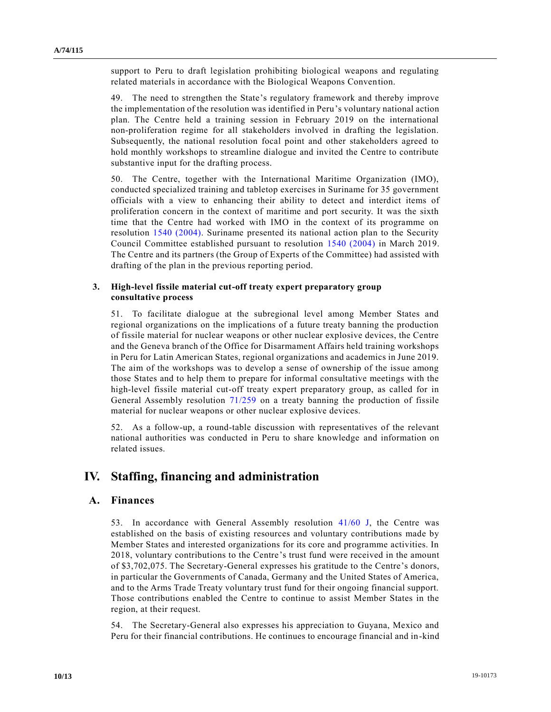support to Peru to draft legislation prohibiting biological weapons and regulating related materials in accordance with the Biological Weapons Convention.

49. The need to strengthen the State's regulatory framework and thereby improve the implementation of the resolution was identified in Peru's voluntary national action plan. The Centre held a training session in February 2019 on the international non-proliferation regime for all stakeholders involved in drafting the legislation. Subsequently, the national resolution focal point and other stakeholders agreed to hold monthly workshops to streamline dialogue and invited the Centre to contribute substantive input for the drafting process.

50. The Centre, together with the International Maritime Organization (IMO), conducted specialized training and tabletop exercises in Suriname for 35 government officials with a view to enhancing their ability to detect and interdict items of proliferation concern in the context of maritime and port security. It was the sixth time that the Centre had worked with IMO in the context of its programme on resolution 1540 [\(2004\).](https://undocs.org/en/S/RES/1540%20(2004)) Suriname presented its national action plan to the Security Council Committee established pursuant to resolution [1540 \(2004\)](https://undocs.org/en/S/RES/1540%20(2004)) in March 2019. The Centre and its partners (the Group of Experts of the Committee) had assisted with drafting of the plan in the previous reporting period.

#### **3. High-level fissile material cut-off treaty expert preparatory group consultative process**

51. To facilitate dialogue at the subregional level among Member States and regional organizations on the implications of a future treaty banning the production of fissile material for nuclear weapons or other nuclear explosive devices, the Centre and the Geneva branch of the Office for Disarmament Affairs held training workshops in Peru for Latin American States, regional organizations and academics in June 2019. The aim of the workshops was to develop a sense of ownership of the issue among those States and to help them to prepare for informal consultative meetings with the high-level fissile material cut-off treaty expert preparatory group, as called for in General Assembly resolution [71/259](https://undocs.org/en/A/RES/71/259) on a treaty banning the production of fissile material for nuclear weapons or other nuclear explosive devices.

52. As a follow-up, a round-table discussion with representatives of the relevant national authorities was conducted in Peru to share knowledge and information on related issues.

### **IV. Staffing, financing and administration**

#### **A. Finances**

53. In accordance with General Assembly resolution [41/60 J,](https://undocs.org/en/A/RES/41/60) the Centre was established on the basis of existing resources and voluntary contributions made by Member States and interested organizations for its core and programme activities. In 2018, voluntary contributions to the Centre's trust fund were received in the amount of \$3,702,075. The Secretary-General expresses his gratitude to the Centre's donors, in particular the Governments of Canada, Germany and the United States of America, and to the Arms Trade Treaty voluntary trust fund for their ongoing financial support. Those contributions enabled the Centre to continue to assist Member States in the region, at their request.

54. The Secretary-General also expresses his appreciation to Guyana, Mexico and Peru for their financial contributions. He continues to encourage financial and in-kind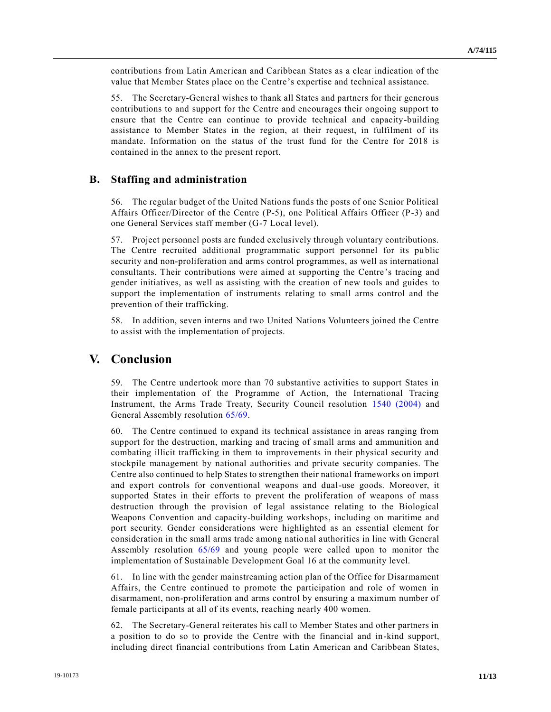contributions from Latin American and Caribbean States as a clear indication of the value that Member States place on the Centre's expertise and technical assistance.

55. The Secretary-General wishes to thank all States and partners for their generous contributions to and support for the Centre and encourages their ongoing support to ensure that the Centre can continue to provide technical and capacity-building assistance to Member States in the region, at their request, in fulfilment of its mandate. Information on the status of the trust fund for the Centre for 2018 is contained in the annex to the present report.

### **B. Staffing and administration**

56. The regular budget of the United Nations funds the posts of one Senior Political Affairs Officer/Director of the Centre (P-5), one Political Affairs Officer (P-3) and one General Services staff member (G-7 Local level).

57. Project personnel posts are funded exclusively through voluntary contributions. The Centre recruited additional programmatic support personnel for its public security and non-proliferation and arms control programmes, as well as international consultants. Their contributions were aimed at supporting the Centre 's tracing and gender initiatives, as well as assisting with the creation of new tools and guides to support the implementation of instruments relating to small arms control and the prevention of their trafficking.

58. In addition, seven interns and two United Nations Volunteers joined the Centre to assist with the implementation of projects.

### **V. Conclusion**

59. The Centre undertook more than 70 substantive activities to support States in their implementation of the Programme of Action, the International Tracing Instrument, the Arms Trade Treaty, Security Council resolution [1540 \(2004\)](https://undocs.org/en/S/RES/1540%20(2004)) and General Assembly resolution [65/69.](https://undocs.org/en/A/RES/65/69)

60. The Centre continued to expand its technical assistance in areas ranging from support for the destruction, marking and tracing of small arms and ammunition and combating illicit trafficking in them to improvements in their physical security and stockpile management by national authorities and private security companies. The Centre also continued to help States to strengthen their national frameworks on import and export controls for conventional weapons and dual-use goods. Moreover, it supported States in their efforts to prevent the proliferation of weapons of mass destruction through the provision of legal assistance relating to the Biological Weapons Convention and capacity-building workshops, including on maritime and port security. Gender considerations were highlighted as an essential element for consideration in the small arms trade among national authorities in line with General Assembly resolution [65/69](https://undocs.org/en/A/RES/65/69) and young people were called upon to monitor the implementation of Sustainable Development Goal 16 at the community level.

61. In line with the gender mainstreaming action plan of the Office for Disarmament Affairs, the Centre continued to promote the participation and role of women in disarmament, non-proliferation and arms control by ensuring a maximum number of female participants at all of its events, reaching nearly 400 women.

62. The Secretary-General reiterates his call to Member States and other partners in a position to do so to provide the Centre with the financial and in-kind support, including direct financial contributions from Latin American and Caribbean States,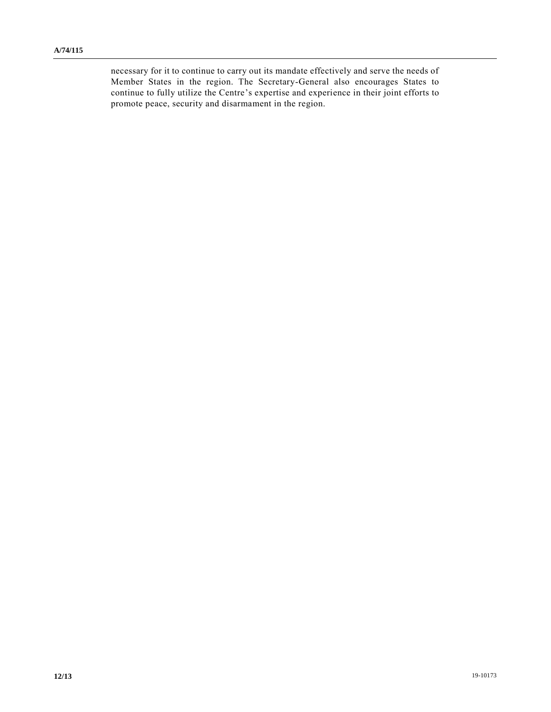necessary for it to continue to carry out its mandate effectively and serve the needs of Member States in the region. The Secretary-General also encourages States to continue to fully utilize the Centre's expertise and experience in their joint efforts to promote peace, security and disarmament in the region.